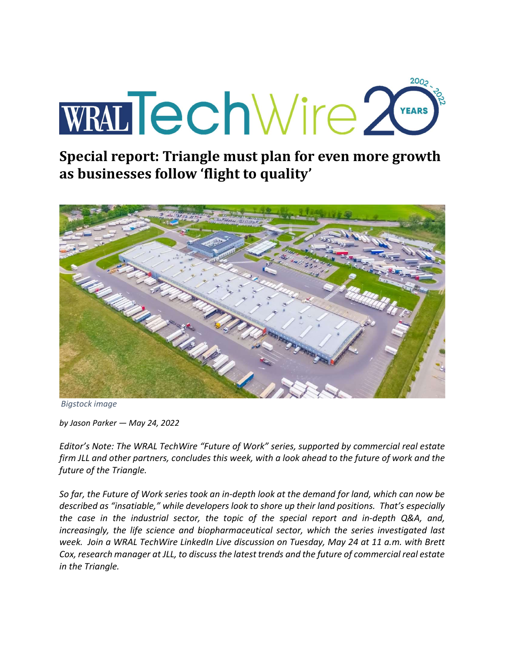# 200ع WRALTechWire 2

Special report: Triangle must plan for even more growth as businesses follow 'flight to quality'



Bigstock image

by Jason Parker — May 24, 2022

Editor's Note: The WRAL TechWire "Future of Work" series, supported by commercial real estate firm JLL and other partners, concludes this week, with a look ahead to the future of work and the future of the Triangle.

So far, the Future of Work series took an in-depth look at the demand for land, which can now be described as "insatiable," while developers look to shore up their land positions. That's especially the case in the industrial sector, the topic of the special report and in-depth Q&A, and, increasingly, the life science and biopharmaceutical sector, which the series investigated last week. Join a WRAL TechWire LinkedIn Live discussion on Tuesday, May 24 at 11 a.m. with Brett Cox, research manager at JLL, to discuss the latest trends and the future of commercial real estate in the Triangle.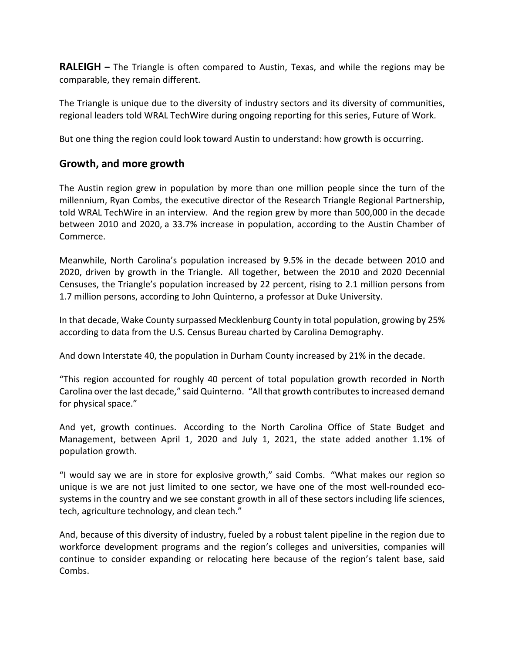**RALEIGH** – The Triangle is often compared to Austin, Texas, and while the regions may be comparable, they remain different.

The Triangle is unique due to the diversity of industry sectors and its diversity of communities, regional leaders told WRAL TechWire during ongoing reporting for this series, Future of Work.

But one thing the region could look toward Austin to understand: how growth is occurring.

#### Growth, and more growth

The Austin region grew in population by more than one million people since the turn of the millennium, Ryan Combs, the executive director of the Research Triangle Regional Partnership, told WRAL TechWire in an interview. And the region grew by more than 500,000 in the decade between 2010 and 2020, a 33.7% increase in population, according to the Austin Chamber of Commerce.

Meanwhile, North Carolina's population increased by 9.5% in the decade between 2010 and 2020, driven by growth in the Triangle. All together, between the 2010 and 2020 Decennial Censuses, the Triangle's population increased by 22 percent, rising to 2.1 million persons from 1.7 million persons, according to John Quinterno, a professor at Duke University.

In that decade, Wake County surpassed Mecklenburg County in total population, growing by 25% according to data from the U.S. Census Bureau charted by Carolina Demography.

And down Interstate 40, the population in Durham County increased by 21% in the decade.

"This region accounted for roughly 40 percent of total population growth recorded in North Carolina over the last decade," said Quinterno. "All that growth contributes to increased demand for physical space."

And yet, growth continues. According to the North Carolina Office of State Budget and Management, between April 1, 2020 and July 1, 2021, the state added another 1.1% of population growth.

"I would say we are in store for explosive growth," said Combs. "What makes our region so unique is we are not just limited to one sector, we have one of the most well-rounded ecosystems in the country and we see constant growth in all of these sectors including life sciences, tech, agriculture technology, and clean tech."

And, because of this diversity of industry, fueled by a robust talent pipeline in the region due to workforce development programs and the region's colleges and universities, companies will continue to consider expanding or relocating here because of the region's talent base, said Combs.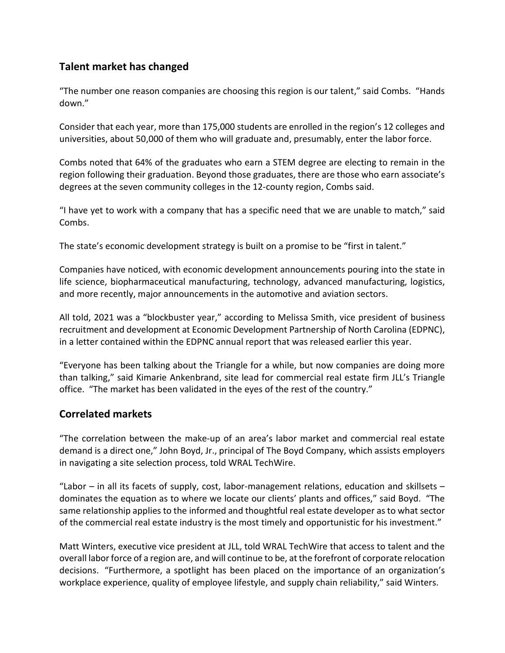# Talent market has changed

"The number one reason companies are choosing this region is our talent," said Combs. "Hands down."

Consider that each year, more than 175,000 students are enrolled in the region's 12 colleges and universities, about 50,000 of them who will graduate and, presumably, enter the labor force.

Combs noted that 64% of the graduates who earn a STEM degree are electing to remain in the region following their graduation. Beyond those graduates, there are those who earn associate's degrees at the seven community colleges in the 12-county region, Combs said.

"I have yet to work with a company that has a specific need that we are unable to match," said Combs.

The state's economic development strategy is built on a promise to be "first in talent."

Companies have noticed, with economic development announcements pouring into the state in life science, biopharmaceutical manufacturing, technology, advanced manufacturing, logistics, and more recently, major announcements in the automotive and aviation sectors.

All told, 2021 was a "blockbuster year," according to Melissa Smith, vice president of business recruitment and development at Economic Development Partnership of North Carolina (EDPNC), in a letter contained within the EDPNC annual report that was released earlier this year.

"Everyone has been talking about the Triangle for a while, but now companies are doing more than talking," said Kimarie Ankenbrand, site lead for commercial real estate firm JLL's Triangle office. "The market has been validated in the eyes of the rest of the country."

# Correlated markets

"The correlation between the make-up of an area's labor market and commercial real estate demand is a direct one," John Boyd, Jr., principal of The Boyd Company, which assists employers in navigating a site selection process, told WRAL TechWire.

"Labor – in all its facets of supply, cost, labor-management relations, education and skillsets – dominates the equation as to where we locate our clients' plants and offices," said Boyd. "The same relationship applies to the informed and thoughtful real estate developer as to what sector of the commercial real estate industry is the most timely and opportunistic for his investment."

Matt Winters, executive vice president at JLL, told WRAL TechWire that access to talent and the overall labor force of a region are, and will continue to be, at the forefront of corporate relocation decisions. "Furthermore, a spotlight has been placed on the importance of an organization's workplace experience, quality of employee lifestyle, and supply chain reliability," said Winters.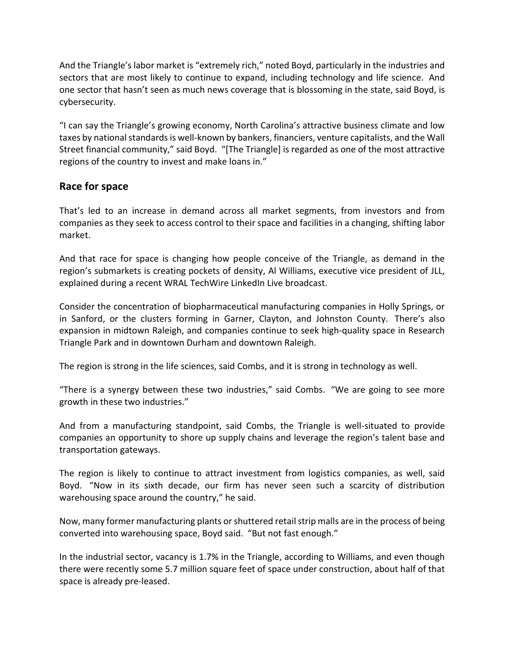And the Triangle's labor market is "extremely rich," noted Boyd, particularly in the industries and sectors that are most likely to continue to expand, including technology and life science. And one sector that hasn't seen as much news coverage that is blossoming in the state, said Boyd, is cybersecurity.

"I can say the Triangle's growing economy, North Carolina's attractive business climate and low taxes by national standards is well-known by bankers, financiers, venture capitalists, and the Wall Street financial community," said Boyd. "[The Triangle] is regarded as one of the most attractive regions of the country to invest and make loans in."

#### Race for space

That's led to an increase in demand across all market segments, from investors and from companies as they seek to access control to their space and facilities in a changing, shifting labor market.

And that race for space is changing how people conceive of the Triangle, as demand in the region's submarkets is creating pockets of density, Al Williams, executive vice president of JLL, explained during a recent WRAL TechWire LinkedIn Live broadcast.

Consider the concentration of biopharmaceutical manufacturing companies in Holly Springs, or in Sanford, or the clusters forming in Garner, Clayton, and Johnston County. There's also expansion in midtown Raleigh, and companies continue to seek high-quality space in Research Triangle Park and in downtown Durham and downtown Raleigh.

The region is strong in the life sciences, said Combs, and it is strong in technology as well.

"There is a synergy between these two industries," said Combs. "We are going to see more growth in these two industries."

And from a manufacturing standpoint, said Combs, the Triangle is well-situated to provide companies an opportunity to shore up supply chains and leverage the region's talent base and transportation gateways.

The region is likely to continue to attract investment from logistics companies, as well, said Boyd. "Now in its sixth decade, our firm has never seen such a scarcity of distribution warehousing space around the country," he said.

Now, many former manufacturing plants or shuttered retail strip malls are in the process of being converted into warehousing space, Boyd said. "But not fast enough."

In the industrial sector, vacancy is 1.7% in the Triangle, according to Williams, and even though there were recently some 5.7 million square feet of space under construction, about half of that space is already pre-leased.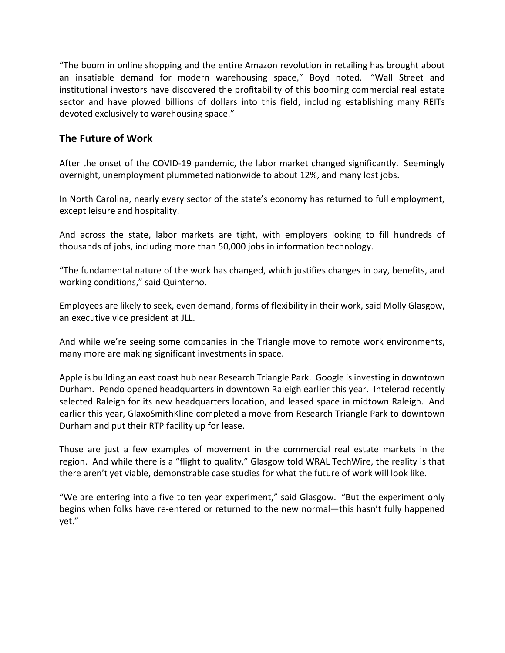"The boom in online shopping and the entire Amazon revolution in retailing has brought about an insatiable demand for modern warehousing space," Boyd noted. "Wall Street and institutional investors have discovered the profitability of this booming commercial real estate sector and have plowed billions of dollars into this field, including establishing many REITs devoted exclusively to warehousing space."

#### The Future of Work

After the onset of the COVID-19 pandemic, the labor market changed significantly. Seemingly overnight, unemployment plummeted nationwide to about 12%, and many lost jobs.

In North Carolina, nearly every sector of the state's economy has returned to full employment, except leisure and hospitality.

And across the state, labor markets are tight, with employers looking to fill hundreds of thousands of jobs, including more than 50,000 jobs in information technology.

"The fundamental nature of the work has changed, which justifies changes in pay, benefits, and working conditions," said Quinterno.

Employees are likely to seek, even demand, forms of flexibility in their work, said Molly Glasgow, an executive vice president at JLL.

And while we're seeing some companies in the Triangle move to remote work environments, many more are making significant investments in space.

Apple is building an east coast hub near Research Triangle Park. Google is investing in downtown Durham. Pendo opened headquarters in downtown Raleigh earlier this year. Intelerad recently selected Raleigh for its new headquarters location, and leased space in midtown Raleigh. And earlier this year, GlaxoSmithKline completed a move from Research Triangle Park to downtown Durham and put their RTP facility up for lease.

Those are just a few examples of movement in the commercial real estate markets in the region. And while there is a "flight to quality," Glasgow told WRAL TechWire, the reality is that there aren't yet viable, demonstrable case studies for what the future of work will look like.

"We are entering into a five to ten year experiment," said Glasgow. "But the experiment only begins when folks have re-entered or returned to the new normal—this hasn't fully happened yet."